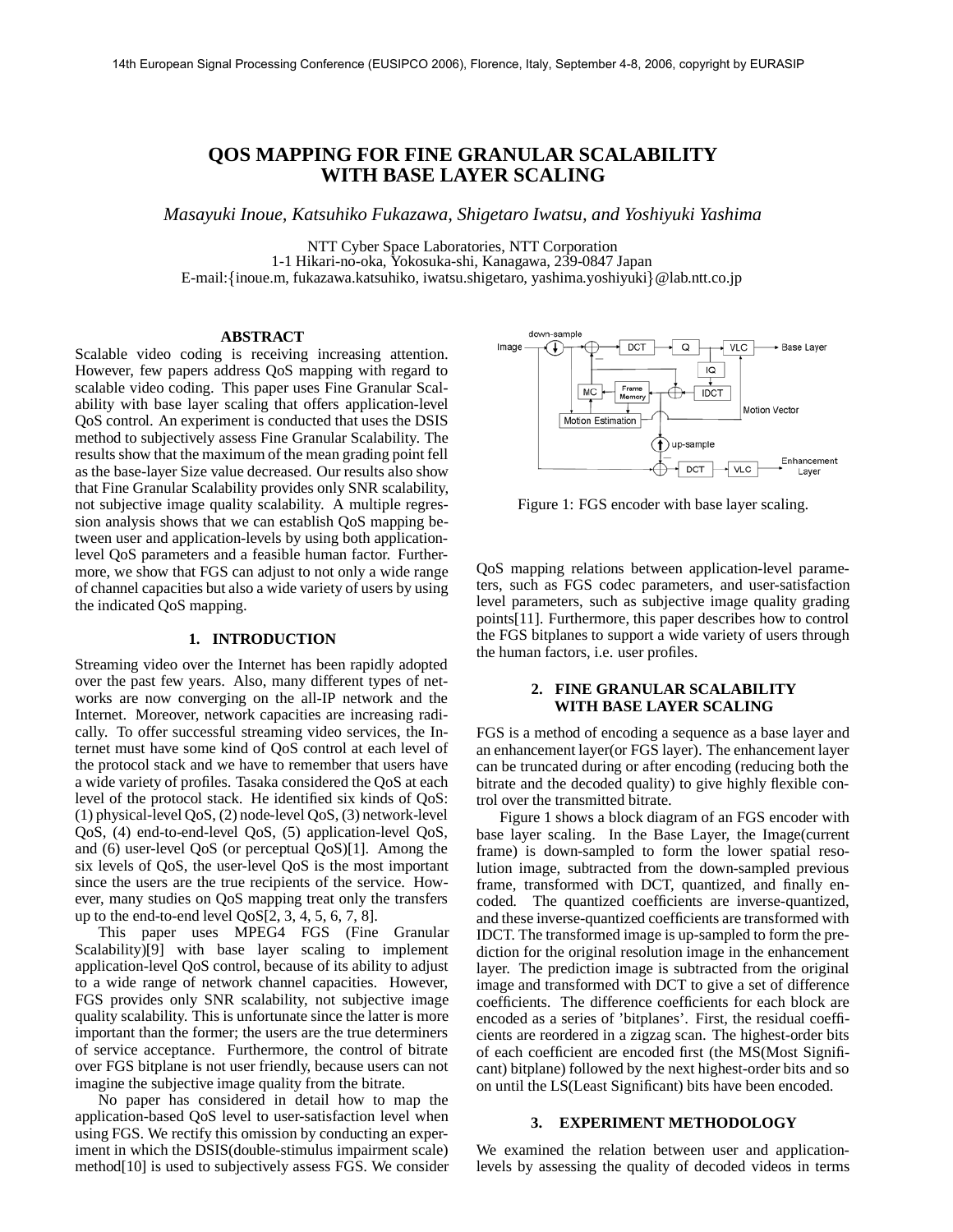# **QOS MAPPING FOR FINE GRANULAR SCALABILITY WITH BASE LAYER SCALING**

*Masayuki Inoue, Katsuhiko Fukazawa, Shigetaro Iwatsu, and Yoshiyuki Yashima*

NTT Cyber Space Laboratories, NTT Corporation 1-1 Hikari-no-oka, Yokosuka-shi, Kanagawa, 239-0847 Japan E-mail: {inoue.m, fukazawa.katsuhiko, iwatsu.shigetaro, yashima.yoshiyuki}@lab.ntt.co.jp

## **ABSTRACT**

Scalable video coding is receiving increasing attention. However, few papers address QoS mapping with regard to scalable video coding. This paper uses Fine Granular Scalability with base layer scaling that offers application-level QoS control. An experiment is conducted that uses the DSIS method to subjectively assess Fine Granular Scalability. The results show that the maximum of the mean grading point fell as the base-layer Size value decreased. Our results also show that Fine Granular Scalability provides only SNR scalability, not subjective image quality scalability. A multiple regression analysis shows that we can establish QoS mapping between user and application-levels by using both applicationlevel QoS parameters and a feasible human factor. Furthermore, we show that FGS can adjust to not only a wide range of channel capacities but also a wide variety of users by using the indicated QoS mapping.

#### **1. INTRODUCTION**

Streaming video over the Internet has been rapidly adopted over the past few years. Also, many different types of networks are now converging on the all-IP network and the Internet. Moreover, network capacities are increasing radically. To offer successful streaming video services, the Internet must have some kind of QoS control at each level of the protocol stack and we have to remember that users have a wide variety of profiles. Tasaka considered the QoS at each level of the protocol stack. He identified six kinds of QoS: (1) physical-level QoS, (2) node-level QoS, (3) network-level QoS, (4) end-to-end-level QoS, (5) application-level QoS, and (6) user-level QoS (or perceptual QoS)[1]. Among the six levels of QoS, the user-level QoS is the most important since the users are the true recipients of the service. However, many studies on QoS mapping treat only the transfers up to the end-to-end level QoS[2, 3, 4, 5, 6, 7, 8].

This paper uses MPEG4 FGS (Fine Granular Scalability)<sup>[9]</sup> with base layer scaling to implement application-level QoS control, because of its ability to adjust to a wide range of network channel capacities. However, FGS provides only SNR scalability, not subjective image quality scalability. This is unfortunate since the latter is more important than the former; the users are the true determiners of service acceptance. Furthermore, the control of bitrate over FGS bitplane is not user friendly, because users can not imagine the subjective image quality from the bitrate.

No paper has considered in detail how to map the application-based QoS level to user-satisfaction level when using FGS. We rectify this omission by conducting an experiment in which the DSIS(double-stimulus impairment scale) method[10] is used to subjectively assess FGS. We consider



Figure 1: FGS encoder with base layer scaling.

QoS mapping relations between application-level parameters, such as FGS codec parameters, and user-satisfaction level parameters, such as subjective image quality grading points[11]. Furthermore, this paper describes how to control the FGS bitplanes to support a wide variety of users through the human factors, i.e. user profiles.

## **2. FINE GRANULAR SCALABILITY WITH BASE LAYER SCALING**

FGS is a method of encoding a sequence as a base layer and an enhancement layer(or FGS layer). The enhancement layer can be truncated during or after encoding (reducing both the bitrate and the decoded quality) to give highly flexible control over the transmitted bitrate.

Figure 1 shows a block diagram of an FGS encoder with base layer scaling. In the Base Layer, the Image(current frame) is down-sampled to form the lower spatial resolution image, subtracted from the down-sampled previous frame, transformed with DCT, quantized, and finally encoded. The quantized coefficients are inverse-quantized, and these inverse-quantized coefficients are transformed with IDCT. The transformed image is up-sampled to form the prediction for the original resolution image in the enhancement layer. The prediction image is subtracted from the original image and transformed with DCT to give a set of difference coefficients. The difference coefficients for each block are encoded as a series of 'bitplanes'. First, the residual coefficients are reordered in a zigzag scan. The highest-order bits of each coefficient are encoded first (the MS(Most Significant) bitplane) followed by the next highest-order bits and so on until the LS(Least Significant) bits have been encoded.

#### **3. EXPERIMENT METHODOLOGY**

We examined the relation between user and applicationlevels by assessing the quality of decoded videos in terms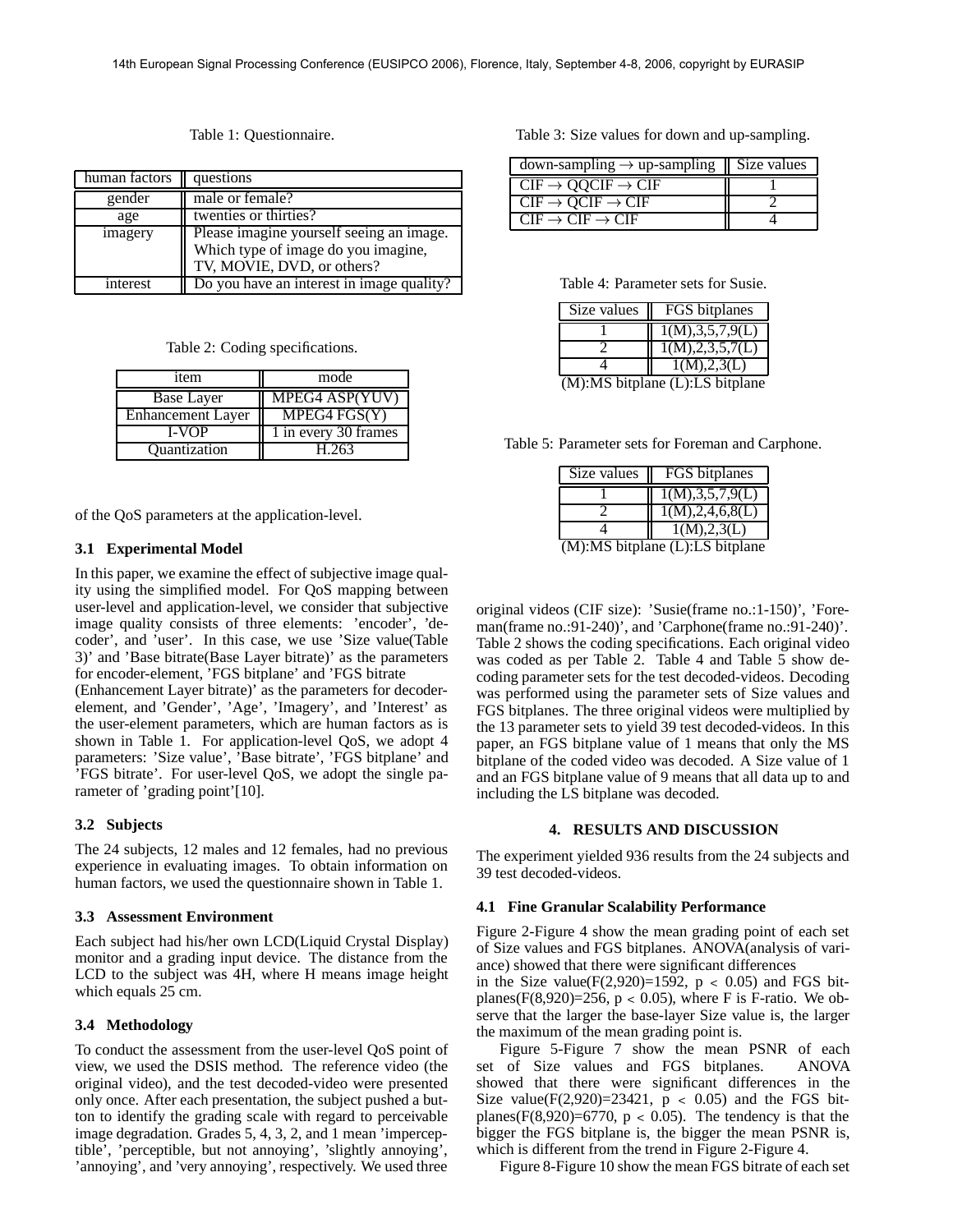Table 1: Questionnaire.

| human factors | questions                                                                                                     |
|---------------|---------------------------------------------------------------------------------------------------------------|
| gender        | male or female?                                                                                               |
| age           | twenties or thirties?                                                                                         |
| imagery       | Please imagine yourself seeing an image.<br>Which type of image do you imagine,<br>TV, MOVIE, DVD, or others? |
| interest      | Do you have an interest in image quality?                                                                     |

Table 2: Coding specifications.

| item                     | mode                  |
|--------------------------|-----------------------|
| Base Layer               | <b>MPEG4 ASP(YUV)</b> |
| <b>Enhancement Layer</b> | MPEG4 FGS(Y)          |
| <b>I-VOP</b>             | 1 in every 30 frames  |
| Quantization             |                       |

of the QoS parameters at the application-level.

#### **3.1 Experimental Model**

In this paper, we examine the effect of subjective image quality using the simplified model. For QoS mapping between user-level and application-level, we consider that subjective image quality consists of three elements: 'encoder', 'decoder', and 'user'. In this case, we use 'Size value(Table 3)' and 'Base bitrate(Base Layer bitrate)' as the parameters for encoder-element, 'FGS bitplane' and 'FGS bitrate

(Enhancement Layer bitrate)' as the parameters for decoderelement, and 'Gender', 'Age', 'Imagery', and 'Interest' as the user-element parameters, which are human factors as is shown in Table 1. For application-level QoS, we adopt 4 parameters: 'Size value', 'Base bitrate', 'FGS bitplane' and 'FGS bitrate'. For user-level QoS, we adopt the single parameter of 'grading point'[10].

#### **3.2 Subjects**

The 24 subjects, 12 males and 12 females, had no previous experience in evaluating images. To obtain information on human factors, we used the questionnaire shown in Table 1.

## **3.3 Assessment Environment**

Each subject had his/her own LCD(Liquid Crystal Display) monitor and a grading input device. The distance from the LCD to the subject was 4H, where H means image height which equals 25 cm.

## **3.4 Methodology**

To conduct the assessment from the user-level QoS point of view, we used the DSIS method. The reference video (the original video), and the test decoded-video were presented only once. After each presentation, the subject pushed a button to identify the grading scale with regard to perceivable image degradation. Grades 5, 4, 3, 2, and 1 mean 'imperceptible', 'perceptible, but not annoying', 'slightly annoying', 'annoying', and 'very annoying', respectively. We used three

Table 3: Size values for down and up-sampling.

| down-sampling $\rightarrow$ up-sampling    Size values |  |
|--------------------------------------------------------|--|
| $CIF \rightarrow QQCIF \rightarrow CIF$                |  |
| $CIF \rightarrow OCIF \rightarrow CIF$                 |  |
| $CIF \rightarrow CIF \rightarrow CIF$                  |  |

Table 4: Parameter sets for Susie.

| Size values                                    | FGS bitplanes       |  |  |  |
|------------------------------------------------|---------------------|--|--|--|
|                                                | 1(M), 3, 5, 7, 9(L) |  |  |  |
|                                                | 1(M), 2, 3, 5, 7(L) |  |  |  |
|                                                | 1(M), 2, 3(L)       |  |  |  |
| $(M): \overline{MS}$ bitplane (L): LS bitplane |                     |  |  |  |

Table 5: Parameter sets for Foreman and Carphone.

| Size values $\parallel$         | FGS bitplanes       |  |  |  |
|---------------------------------|---------------------|--|--|--|
|                                 | 1(M), 3, 5, 7, 9(L) |  |  |  |
|                                 | 1(M), 2, 4, 6, 8(L) |  |  |  |
|                                 | 1(M), 2, 3(L)       |  |  |  |
| (M):MS bitplane (L):LS bitplane |                     |  |  |  |

original videos (CIF size): 'Susie(frame no.:1-150)', 'Foreman(frame no.:91-240)', and 'Carphone(frame no.:91-240)'. Table 2 shows the coding specifications. Each original video was coded as per Table 2. Table 4 and Table 5 show decoding parameter sets for the test decoded-videos. Decoding was performed using the parameter sets of Size values and FGS bitplanes. The three original videos were multiplied by the 13 parameter sets to yield 39 test decoded-videos. In this paper, an FGS bitplane value of 1 means that only the MS bitplane of the coded video was decoded. A Size value of 1 and an FGS bitplane value of 9 means that all data up to and including the LS bitplane was decoded.

### **4. RESULTS AND DISCUSSION**

The experiment yielded 936 results from the 24 subjects and 39 test decoded-videos.

## **4.1 Fine Granular Scalability Performance**

Figure 2-Figure 4 show the mean grading point of each set of Size values and FGS bitplanes. ANOVA(analysis of variance) showed that there were significant differences

in the Size value( $F(2,920)=1592$ ,  $p < 0.05$ ) and FGS bitplanes(F(8,920)=256,  $p < 0.05$ ), where F is F-ratio. We observe that the larger the base-layer Size value is, the larger the maximum of the mean grading point is.

Figure 5-Figure 7 show the mean PSNR of each set of Size values and FGS bitplanes. ANOVA showed that there were significant differences in the Size value( $F(2,920) = 23421$ ,  $p < 0.05$ ) and the FGS bitplanes(F(8,920)=6770,  $p < 0.05$ ). The tendency is that the bigger the FGS bitplane is, the bigger the mean PSNR is, which is different from the trend in Figure 2-Figure 4.

Figure 8-Figure 10 show the mean FGS bitrate of each set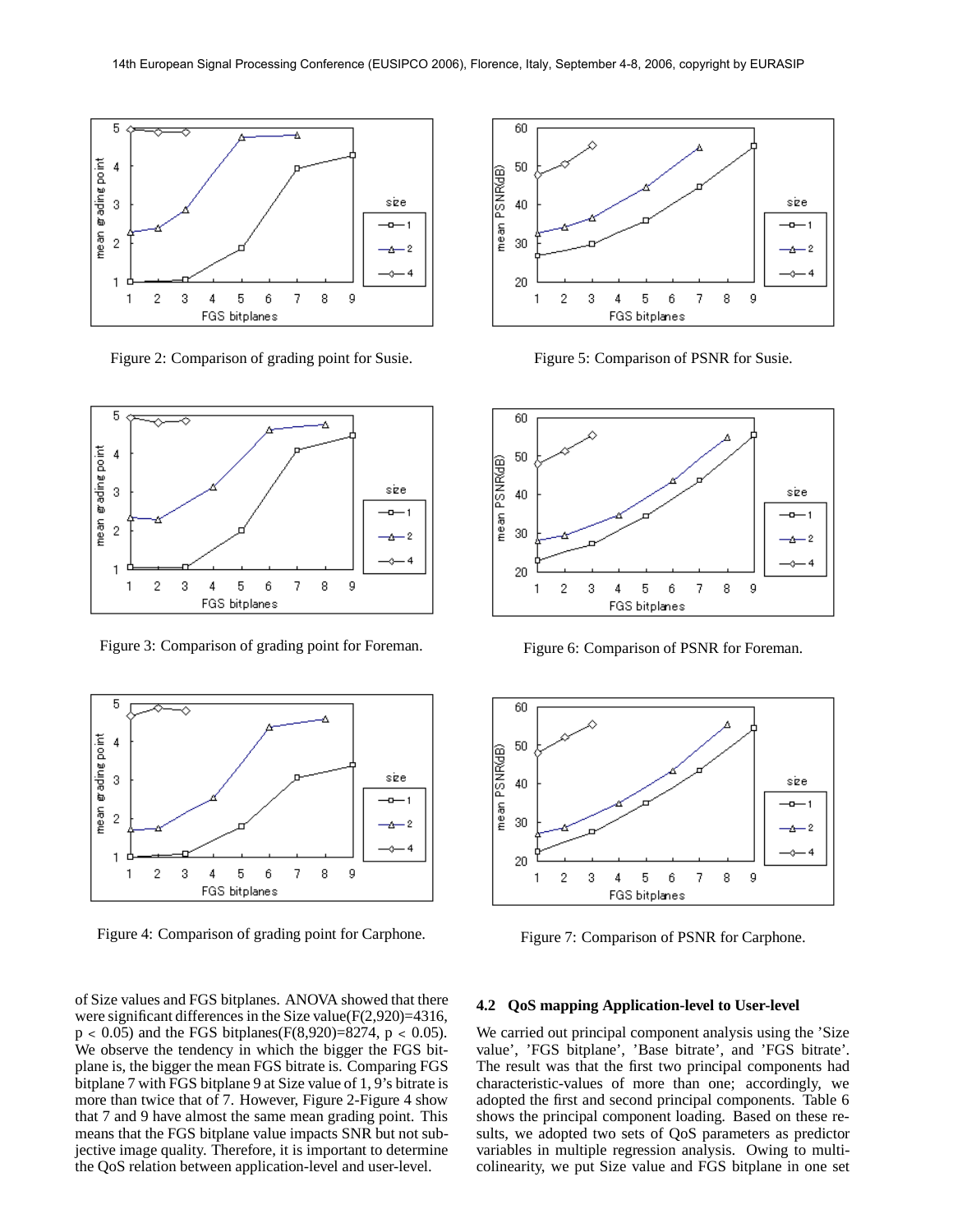

Figure 2: Comparison of grading point for Susie.



Figure 3: Comparison of grading point for Foreman.



Figure 4: Comparison of grading point for Carphone.

of Size values and FGS bitplanes. ANOVA showed that there were significant differences in the Size value $(F(2, 920)=4316,$  $p < 0.05$ ) and the FGS bitplanes(F(8,920)=8274,  $p < 0.05$ ). We observe the tendency in which the bigger the FGS bitplane is, the bigger the mean FGS bitrate is. Comparing FGS bitplane 7 with FGS bitplane 9 at Size value of 1, 9's bitrate is more than twice that of 7. However, Figure 2-Figure 4 show that 7 and 9 have almost the same mean grading point. This means that the FGS bitplane value impacts SNR but not subjective image quality. Therefore, it is important to determine the QoS relation between application-level and user-level.



Figure 5: Comparison of PSNR for Susie.



Figure 6: Comparison of PSNR for Foreman.



Figure 7: Comparison of PSNR for Carphone.

# **4.2 QoS mapping Application-level to User-level**

We carried out principal component analysis using the 'Size value', 'FGS bitplane', 'Base bitrate', and 'FGS bitrate'. The result was that the first two principal components had characteristic-values of more than one; accordingly, we adopted the first and second principal components. Table 6 shows the principal component loading. Based on these results, we adopted two sets of QoS parameters as predictor variables in multiple regression analysis. Owing to multicolinearity, we put Size value and FGS bitplane in one set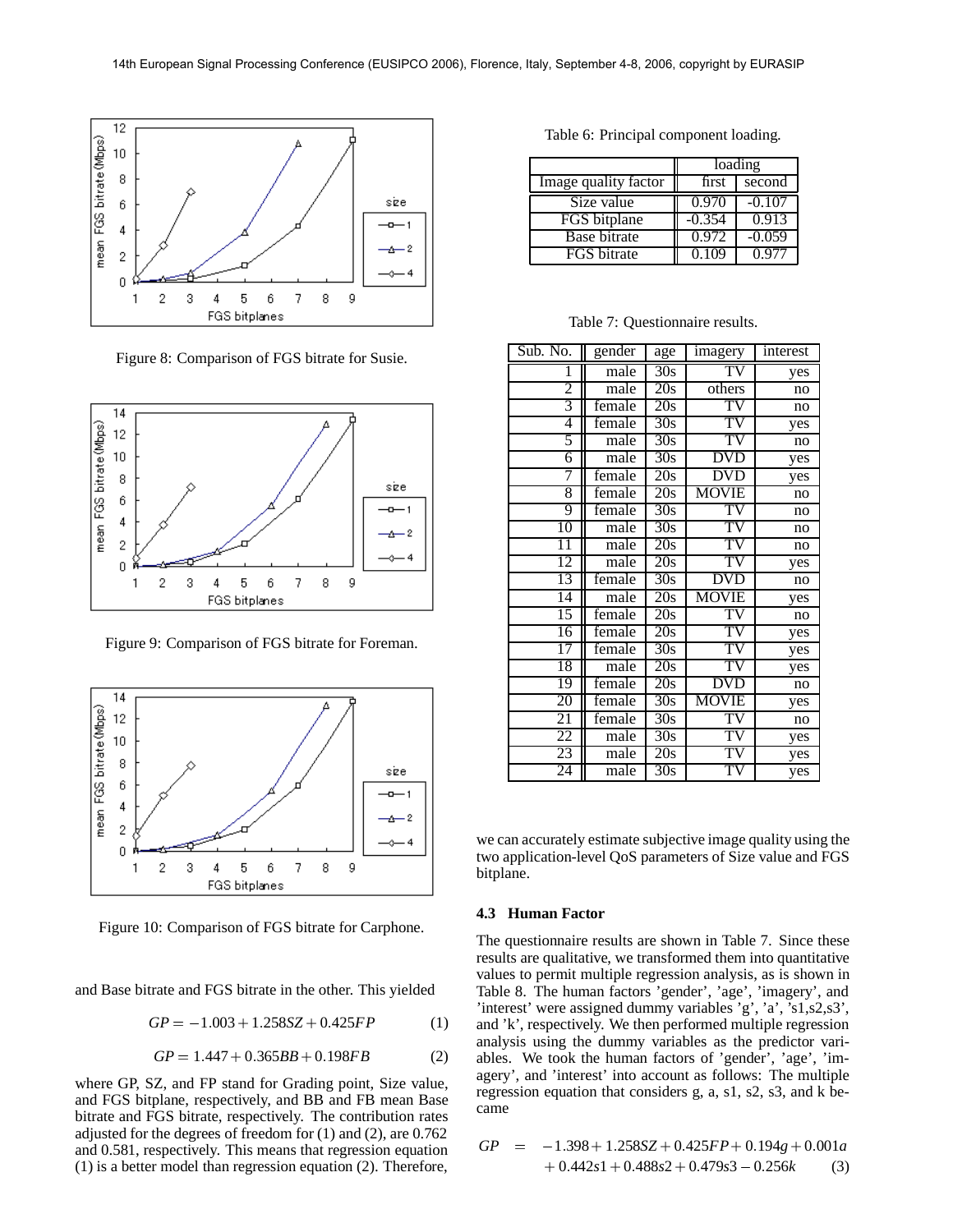

Figure 8: Comparison of FGS bitrate for Susie.



Figure 9: Comparison of FGS bitrate for Foreman.



Figure 10: Comparison of FGS bitrate for Carphone.

and Base bitrate and FGS bitrate in the other. This yielded

$$
GP = -1.003 + 1.258SZ + 0.425FP
$$
 (1)

$$
GP = 1.447 + 0.365BB + 0.198FB
$$
 (2)

where GP, SZ, and FP stand for Grading point, Size value, and FGS bitplane, respectively, and BB and FB mean Base bitrate and FGS bitrate, respectively. The contribution rates adjusted for the degrees of freedom for (1) and (2), are 0.762 and 0.581, respectively. This means that regression equation (1) is a better model than regression equation (2). Therefore,

|  | Table 6: Principal component loading. |
|--|---------------------------------------|
|--|---------------------------------------|

|                      | loading  |          |  |
|----------------------|----------|----------|--|
| Image quality factor | first    | second   |  |
| Size value           | 0.970    | $-0.107$ |  |
| FGS bitplane         | $-0.354$ | 0.913    |  |
| Base bitrate         | 0.972    | $-0.059$ |  |
| <b>FGS</b> bitrate   | 0.109    | በ 977    |  |

Table 7: Questionnaire results.

| Sub. No.        | gender | age | imagery                   | interest |  |
|-----------------|--------|-----|---------------------------|----------|--|
| L               | male   | 30s | $\overline{\text{TV}}$    | yes      |  |
| 2               | male   | 20s | others                    | no       |  |
| 3               | female | 20s | $\overline{\text{TV}}$    | no       |  |
| 4               | female | 30s | TV                        | yes      |  |
| 5               | male   | 30s | TV                        | no       |  |
| 6               | male   | 30s | $\overline{\mathrm{DVD}}$ | yes      |  |
| 7               | female | 20s | <b>DVD</b>                | yes      |  |
| 8               | female | 20s | <b>MOVIE</b>              | no       |  |
| 9               | female | 30s | $\overline{\text{TV}}$    | no       |  |
| 10              | male   | 30s | TV                        | no       |  |
| $\overline{11}$ | male   | 20s | TV                        | no       |  |
| 12              | male   | 20s | TV                        | yes      |  |
| 13              | female | 30s | <b>DVD</b>                | no       |  |
| 14              | male   | 20s | MOVIE                     | yes      |  |
| 15              | female | 20s | $\overline{\text{TV}}$    | no       |  |
| 16              | female | 20s | TV                        | yes      |  |
| 17              | female | 30s | TV                        | yes      |  |
| 18              | male   | 20s | TV                        | yes      |  |
| 19              | female | 20s | <b>DVD</b>                | no       |  |
| 20              | female | 30s | <b>MOVIE</b>              | yes      |  |
| 21              | female | 30s | $\overline{\text{TV}}$    | no       |  |
| 22              | male   | 30s | TV                        | yes      |  |
| 23              | male   | 20s | $\overline{\text{TV}}$    | yes      |  |
| 24              | male   | 30s | $\overline{\text{TV}}$    | yes      |  |

we can accurately estimate subjective image quality using the two application-level QoS parameters of Size value and FGS bitplane.

# **4.3 Human Factor**

The questionnaire results are shown in Table 7. Since these results are qualitative, we transformed them into quantitative values to permit multiple regression analysis, as is shown in Table 8. The human factors 'gender', 'age', 'imagery', and 'interest' were assigned dummy variables 'g', 'a', 's1,s2,s3', and 'k', respectively. We then performed multiple regression analysis using the dummy variables as the predictor variables. We took the human factors of 'gender', 'age', 'imagery', and 'interest' into account as follows: The multiple regression equation that considers g, a, s1, s2, s3, and k became

$$
GP = -1.398 + 1.258SZ + 0.425FP + 0.194g + 0.001a
$$
  
+ 0.442s1 + 0.488s2 + 0.479s3 - 0.256k (3)